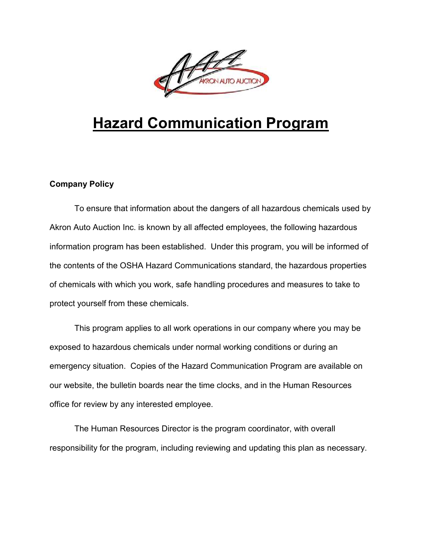

# **Hazard Communication Program**

## **Company Policy**

To ensure that information about the dangers of all hazardous chemicals used by Akron Auto Auction Inc. is known by all affected employees, the following hazardous information program has been established. Under this program, you will be informed of the contents of the OSHA Hazard Communications standard, the hazardous properties of chemicals with which you work, safe handling procedures and measures to take to protect yourself from these chemicals.

This program applies to all work operations in our company where you may be exposed to hazardous chemicals under normal working conditions or during an emergency situation. Copies of the Hazard Communication Program are available on our website, the bulletin boards near the time clocks, and in the Human Resources office for review by any interested employee.

The Human Resources Director is the program coordinator, with overall responsibility for the program, including reviewing and updating this plan as necessary.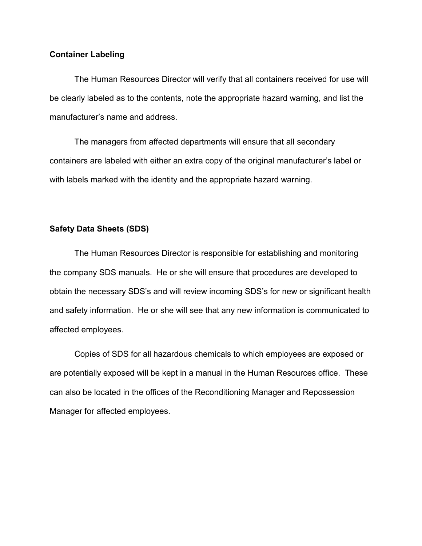#### **Container Labeling**

The Human Resources Director will verify that all containers received for use will be clearly labeled as to the contents, note the appropriate hazard warning, and list the manufacturer's name and address.

The managers from affected departments will ensure that all secondary containers are labeled with either an extra copy of the original manufacturer's label or with labels marked with the identity and the appropriate hazard warning.

### **Safety Data Sheets (SDS)**

The Human Resources Director is responsible for establishing and monitoring the company SDS manuals. He or she will ensure that procedures are developed to obtain the necessary SDS's and will review incoming SDS's for new or significant health and safety information. He or she will see that any new information is communicated to affected employees.

Copies of SDS for all hazardous chemicals to which employees are exposed or are potentially exposed will be kept in a manual in the Human Resources office. These can also be located in the offices of the Reconditioning Manager and Repossession Manager for affected employees.